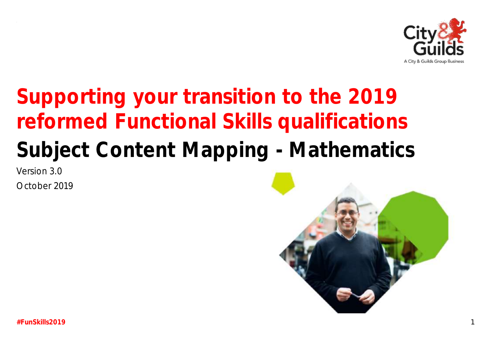

# Supporting your transition to the 2019 reformed Functional Skills qualifications Subject Content Mapping - Mathematics

Version 3.0

October 2019

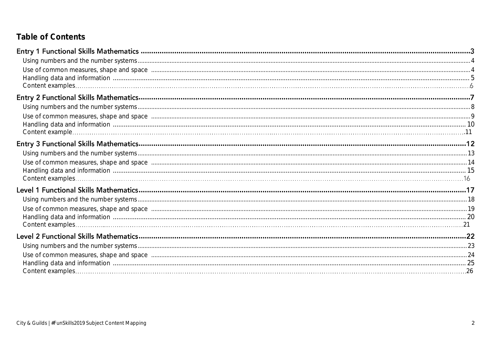# Table of Contents

| Entry 1 Functional Skills Mathematics <b>Mathematics</b> 3                                                                                                                                                                     |  |
|--------------------------------------------------------------------------------------------------------------------------------------------------------------------------------------------------------------------------------|--|
|                                                                                                                                                                                                                                |  |
| Use of common measures, shape and space manufactured and space and space and space manufactured and space manufactured and space and space and space and space and space and space and space and space and space and space and |  |
|                                                                                                                                                                                                                                |  |
|                                                                                                                                                                                                                                |  |
|                                                                                                                                                                                                                                |  |
|                                                                                                                                                                                                                                |  |
| Use of common measures, shape and space manufactured and space of the state of common measures, shape and space manufactured and space of common measures, shape and space                                                     |  |
|                                                                                                                                                                                                                                |  |
|                                                                                                                                                                                                                                |  |
|                                                                                                                                                                                                                                |  |
|                                                                                                                                                                                                                                |  |
| Use of common measures, shape and space manufactured and space and space and space manufactured and space manufactured and space 14                                                                                            |  |
|                                                                                                                                                                                                                                |  |
|                                                                                                                                                                                                                                |  |
|                                                                                                                                                                                                                                |  |
|                                                                                                                                                                                                                                |  |
| Use of common measures, shape and space manufactured and space and space of the substitution of the state of common measures, shape and space manufactured and space and the substitution of the state of the state of the sta |  |
|                                                                                                                                                                                                                                |  |
|                                                                                                                                                                                                                                |  |
|                                                                                                                                                                                                                                |  |
|                                                                                                                                                                                                                                |  |
| Use of common measures, shape and space manufactured and content and announced and space manufactured and space 24                                                                                                             |  |
|                                                                                                                                                                                                                                |  |
|                                                                                                                                                                                                                                |  |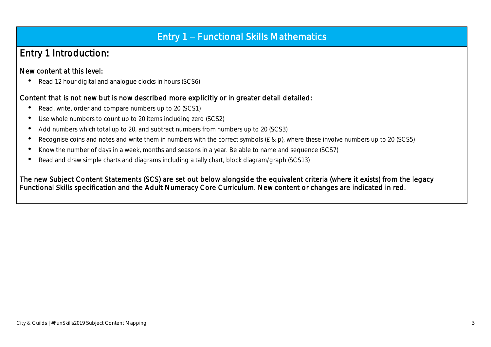# Entry 1 - Functional Skills Mathematics

# Entry 1 Introduction:

### New content at this level:

• Read 12 hour digital and analogue clocks in hours (SCS6)

### Content that is not new but is now described more explicitly or in greater detail detailed:

- Read, write, order and compare numbers up to 20 (SCS1)
- Use whole numbers to count up to 20 items including zero (SCS2)
- Add numbers which total up to 20, and subtract numbers from numbers up to 20 (SCS3)
- Recognise coins and notes and write them in numbers with the correct symbols (£ & p), where these involve numbers up to 20 (SCS5)
- Know the number of days in a week, months and seasons in a year. Be able to name and sequence (SCS7)
- Read and draw simple charts and diagrams including a tally chart, block diagram/graph (SCS13)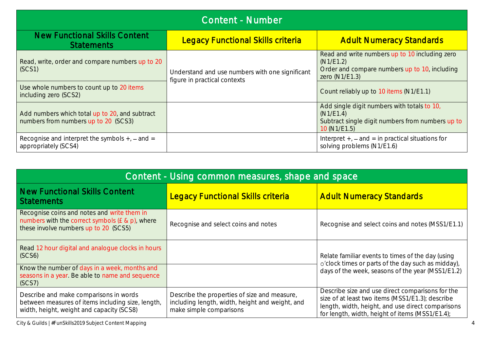| Content - Number                                                                       |                                                                                 |                                                                                                                                |  |
|----------------------------------------------------------------------------------------|---------------------------------------------------------------------------------|--------------------------------------------------------------------------------------------------------------------------------|--|
| <b>New Functional Skills Content</b><br><b>Statements</b>                              | <b>Legacy Functional Skills criteria</b>                                        | <b>Adult Numeracy Standards</b>                                                                                                |  |
| Read, write, order and compare numbers up to 20<br>(SCS1)                              | Understand and use numbers with one significant<br>figure in practical contexts | Read and write numbers up to 10 including zero<br>(N1/E1.2)<br>Order and compare numbers up to 10, including<br>zero (N1/E1.3) |  |
| Use whole numbers to count up to 20 items<br>including zero (SCS2)                     |                                                                                 | Count reliably up to 10 items (N1/E1.1)                                                                                        |  |
| Add numbers which total up to 20, and subtract<br>numbers from numbers up to 20 (SCS3) |                                                                                 | Add single digit numbers with totals to 10,<br>(N1/E1.4)<br>Subtract single digit numbers from numbers up to<br>10 (N1/E1.5)   |  |
| Recognise and interpret the symbols $+$ , $-$ and $=$<br>appropriately (SCS4)          |                                                                                 | Interpret $+$ , $-$ and $=$ in practical situations for<br>solving problems (N1/E1.6)                                          |  |

| Content - Using common measures, shape and space                                                                                           |                                                                                                                            |                                                                                                                                                                                                              |  |  |
|--------------------------------------------------------------------------------------------------------------------------------------------|----------------------------------------------------------------------------------------------------------------------------|--------------------------------------------------------------------------------------------------------------------------------------------------------------------------------------------------------------|--|--|
| New Functional Skills Content<br><b>Statements</b>                                                                                         | <b>Legacy Functional Skills criteria</b>                                                                                   | <b>Adult Numeracy Standards</b>                                                                                                                                                                              |  |  |
| Recognise coins and notes and write them in<br>numbers with the correct symbols $(E & p)$ , where<br>these involve numbers up to 20 (SCS5) | Recognise and select coins and notes                                                                                       | Recognise and select coins and notes (MSS1/E1.1)                                                                                                                                                             |  |  |
| Read 12 hour digital and analogue clocks in hours<br>(SCS6)                                                                                |                                                                                                                            | Relate familiar events to times of the day (using<br>o'clock times or parts of the day such as midday),<br>days of the week, seasons of the year (MSS1/E1.2)                                                 |  |  |
| Know the number of days in a week, months and<br>seasons in a year. Be able to name and sequence<br>(SCS7)                                 |                                                                                                                            |                                                                                                                                                                                                              |  |  |
| Describe and make comparisons in words<br>between measures of items including size, length,<br>width, height, weight and capacity (SCS8)   | Describe the properties of size and measure,<br>including length, width, height and weight, and<br>make simple comparisons | Describe size and use direct comparisons for the<br>size of at least two items (MSS1/E1.3); describe<br>length, width, height, and use direct comparisons<br>for length, width, height of items (MSS1/E1.4); |  |  |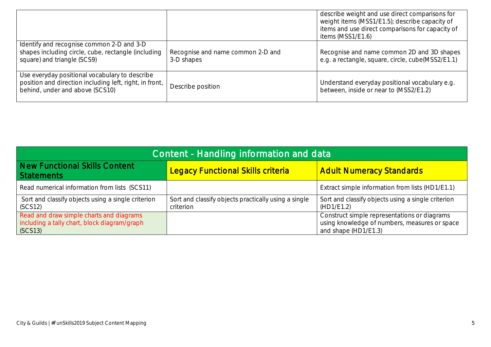|                                                                                                                                              |                                                 | describe weight and use direct comparisons for<br>weight items (MSS1/E1.5); describe capacity of<br>items and use direct comparisons for capacity of<br>items (MSS1/E1.6) |
|----------------------------------------------------------------------------------------------------------------------------------------------|-------------------------------------------------|---------------------------------------------------------------------------------------------------------------------------------------------------------------------------|
| Identify and recognise common 2-D and 3-D<br>shapes including circle, cube, rectangle (including<br>square) and triangle (SCS9)              | Recognise and name common 2-D and<br>3-D shapes | Recognise and name common 2D and 3D shapes<br>e.g. a rectangle, square, circle, cube(MSS2/E1.1)                                                                           |
| Use everyday positional vocabulary to describe<br>position and direction including left, right, in front,<br>behind, under and above (SCS10) | Describe position                               | Understand everyday positional vocabulary e.g.<br>between, inside or near to (MSS2/E1.2)                                                                                  |

| Content - Handling information and data                                                                                    |                                                                   |                                                                                                                       |  |  |
|----------------------------------------------------------------------------------------------------------------------------|-------------------------------------------------------------------|-----------------------------------------------------------------------------------------------------------------------|--|--|
| New Functional Skills Content<br><b>Adult Numeracy Standards</b><br><b>Legacy Functional Skills criteria</b><br>Statements |                                                                   |                                                                                                                       |  |  |
| Read numerical information from lists (SCS11)                                                                              |                                                                   | Extract simple information from lists (HD1/E1.1)                                                                      |  |  |
| Sort and classify objects using a single criterion<br>(SCS12)                                                              | Sort and classify objects practically using a single<br>criterion | Sort and classify objects using a single criterion<br>(HD1/E1.2)                                                      |  |  |
| Read and draw simple charts and diagrams<br>including a tally chart, block diagram/graph<br>(SCS13)                        |                                                                   | Construct simple representations or diagrams<br>using knowledge of numbers, measures or space<br>and shape (HD1/E1.3) |  |  |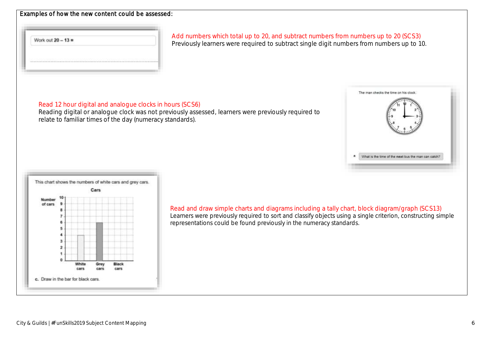#### Examples of how the new content could be assessed:

Work out  $20 - 13 =$ 

Add numbers which total up to 20, and subtract numbers from numbers up to 20 (SCS3) Previously learners were required to subtract single digit numbers from numbers up to 10.

#### Read 12 hour digital and analogue clocks in hours (SCS6)

Reading digital or analogue clock was not previously assessed, learners were previously required to relate to familiar times of the day (numeracy standards).





Read and draw simple charts and diagrams including a tally chart, block diagram/graph (SCS13) Learners were previously required to sort and classify objects using a single criterion, constructing simple representations could be found previously in the numeracy standards.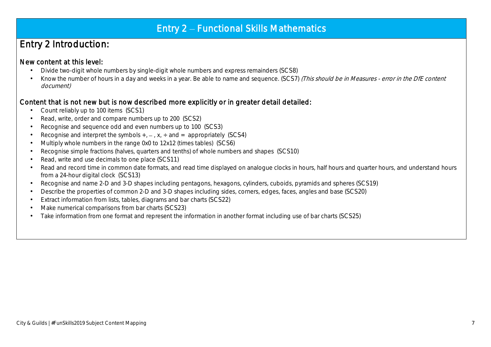# Entry 2 - Functional Skills Mathematics

# Entry 2 Introduction:

### New content at this level:

- Divide two-digit whole numbers by single-digit whole numbers and express remainders (SCS8)
- Know the number of hours in a day and weeks in a year. Be able to name and sequence. (SCS7) (This should be in Measures error in the DfE content document)

### Content that is not new but is now described more explicitly or in greater detail detailed:

- Count reliably up to 100 items (SCS1)
- Read, write, order and compare numbers up to 200 (SCS2)
- Recognise and sequence odd and even numbers up to 100 (SCS3)
- Recognise and interpret the symbols  $+$ ,  $-$ ,  $x$ ,  $\div$  and  $=$  appropriately (SCS4)
- Multiply whole numbers in the range 0x0 to 12x12 (times tables) (SCS6)
- Recognise simple fractions (halves, quarters and tenths) of whole numbers and shapes (SCS10)
- Read, write and use decimals to one place (SCS11)
- Read and record time in common date formats, and read time displayed on analogue clocks in hours, half hours and quarter hours, and understand hours from a 24-hour digital clock (SCS13)

- Recognise and name 2-D and 3-D shapes including pentagons, hexagons, cylinders, cuboids, pyramids and spheres (SCS19)
- Describe the properties of common 2-D and 3-D shapes including sides, corners, edges, faces, angles and base (SCS20)
- Extract information from lists, tables, diagrams and bar charts (SCS22)
- Make numerical comparisons from bar charts (SCS23)
- Take information from one format and represent the information in another format including use of bar charts (SCS25)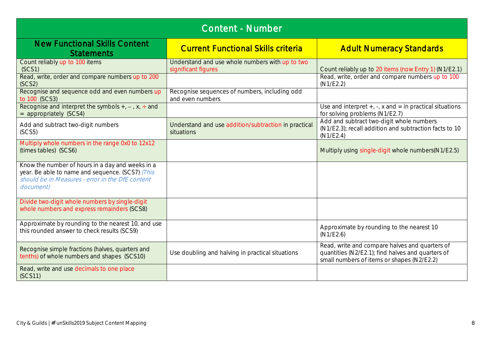| <b>Content - Number</b>                                                                                                                                               |                                                                        |                                                                                                                                                   |  |  |
|-----------------------------------------------------------------------------------------------------------------------------------------------------------------------|------------------------------------------------------------------------|---------------------------------------------------------------------------------------------------------------------------------------------------|--|--|
| <b>New Functional Skills Content</b><br><b>Statements</b>                                                                                                             | <b>Current Functional Skills criteria</b>                              | <b>Adult Numeracy Standards</b>                                                                                                                   |  |  |
| Count reliably up to 100 items<br>(SCS1)                                                                                                                              | Understand and use whole numbers with up to two<br>significant figures | Count reliably up to 20 items (now Entry 1) (N1/E2.1)                                                                                             |  |  |
| Read, write, order and compare numbers up to 200<br>(SCS2)                                                                                                            |                                                                        | Read, write, order and compare numbers up to 100<br>(N1/E2.2)                                                                                     |  |  |
| Recognise and sequence odd and even numbers up<br>to 100 (SCS3)                                                                                                       | Recognise sequences of numbers, including odd<br>and even numbers      |                                                                                                                                                   |  |  |
| Recognise and interpret the symbols $+, -$ , x, $\div$ and<br>= appropriately (SCS4)                                                                                  |                                                                        | Use and interpret $+$ , $-$ , $x$ and $=$ in practical situations<br>for solving problems (N1/E2.7)                                               |  |  |
| Add and subtract two-digit numbers<br>(SCS5)                                                                                                                          | Understand and use addition/subtraction in practical<br>situations     | Add and subtract two-digit whole numbers<br>(N1/E2.3); recall addition and subtraction facts to 10<br>(N1/E2.4)                                   |  |  |
| Multiply whole numbers in the range 0x0 to 12x12<br>(times tables) (SCS6)                                                                                             |                                                                        | Multiply using single-digit whole numbers (N1/E2.5)                                                                                               |  |  |
| Know the number of hours in a day and weeks in a<br>year. Be able to name and sequence. (SCS7) (This<br>should be in Measures - error in the DfE content<br>document) |                                                                        |                                                                                                                                                   |  |  |
| Divide two-digit whole numbers by single-digit<br>whole numbers and express remainders (SCS8)                                                                         |                                                                        |                                                                                                                                                   |  |  |
| Approximate by rounding to the nearest 10, and use<br>this rounded answer to check results (SCS9)                                                                     |                                                                        | Approximate by rounding to the nearest 10<br>(N1/E2.6)                                                                                            |  |  |
| Recognise simple fractions (halves, quarters and<br>tenths) of whole numbers and shapes (SCS10)                                                                       | Use doubling and halving in practical situations                       | Read, write and compare halves and quarters of<br>quantities (N2/E2.1); find halves and quarters of<br>small numbers of items or shapes (N2/E2.2) |  |  |
| Read, write and use decimals to one place<br>(SCS11)                                                                                                                  |                                                                        |                                                                                                                                                   |  |  |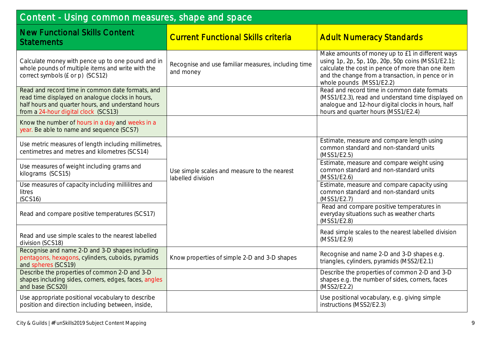| Content - Using common measures, shape and space                                                                                                                                                   |                                                                   |                                                                                                                                                                                                                                              |  |
|----------------------------------------------------------------------------------------------------------------------------------------------------------------------------------------------------|-------------------------------------------------------------------|----------------------------------------------------------------------------------------------------------------------------------------------------------------------------------------------------------------------------------------------|--|
| <b>New Functional Skills Content</b><br><b>Statements</b>                                                                                                                                          | <b>Current Functional Skills criteria</b>                         | <b>Adult Numeracy Standards</b>                                                                                                                                                                                                              |  |
| Calculate money with pence up to one pound and in<br>whole pounds of multiple items and write with the<br>correct symbols (£ or p) (SCS12)                                                         | Recognise and use familiar measures, including time<br>and money  | Make amounts of money up to £1 in different ways<br>using 1p, 2p, 5p, 10p, 20p, 50p coins (MSS1/E2.1);<br>calculate the cost in pence of more than one item<br>and the change from a transaction, in pence or in<br>whole pounds (MSS1/E2.2) |  |
| Read and record time in common date formats, and<br>read time displayed on analogue clocks in hours,<br>half hours and quarter hours, and understand hours<br>from a 24-hour digital clock (SCS13) |                                                                   | Read and record time in common date formats<br>(MSS1/E2.3), read and understand time displayed on<br>analogue and 12-hour digital clocks in hours, half<br>hours and quarter hours (MSS1/E2.4)                                               |  |
| Know the number of hours in a day and weeks in a<br>year. Be able to name and sequence (SCS7)                                                                                                      |                                                                   |                                                                                                                                                                                                                                              |  |
| Use metric measures of length including millimetres,<br>centimetres and metres and kilometres (SCS14)                                                                                              |                                                                   | Estimate, measure and compare length using<br>common standard and non-standard units<br>(MSS1/E2.5)                                                                                                                                          |  |
| Use measures of weight including grams and<br>kilograms (SCS15)                                                                                                                                    | Use simple scales and measure to the nearest<br>labelled division | Estimate, measure and compare weight using<br>common standard and non-standard units<br>(MSS1/E2.6)                                                                                                                                          |  |
| Use measures of capacity including millilitres and<br>litres<br>(SCS16)                                                                                                                            |                                                                   | Estimate, measure and compare capacity using<br>common standard and non-standard units<br>(MSS1/E2.7)                                                                                                                                        |  |
| Read and compare positive temperatures (SCS17)                                                                                                                                                     |                                                                   | Read and compare positive temperatures in<br>everyday situations such as weather charts<br>(MSS1/E2.8)                                                                                                                                       |  |
| Read and use simple scales to the nearest labelled<br>division (SCS18)                                                                                                                             |                                                                   | Read simple scales to the nearest labelled division<br>(MSS1/E2.9)                                                                                                                                                                           |  |
| Recognise and name 2-D and 3-D shapes including<br>pentagons, hexagons, cylinders, cuboids, pyramids<br>and spheres (SCS19)                                                                        | Know properties of simple 2-D and 3-D shapes                      | Recognise and name 2-D and 3-D shapes e.g.<br>triangles, cylinders, pyramids (MSS2/E2.1)                                                                                                                                                     |  |
| Describe the properties of common 2-D and 3-D<br>shapes including sides, corners, edges, faces, angles<br>and base (SCS20)                                                                         |                                                                   | Describe the properties of common 2-D and 3-D<br>shapes e.g. the number of sides, corners, faces<br>(MSS2/E2.2)                                                                                                                              |  |
| Use appropriate positional vocabulary to describe<br>position and direction including between, inside,                                                                                             |                                                                   | Use positional vocabulary, e.g. giving simple<br>instructions (MSS2/E2.3)                                                                                                                                                                    |  |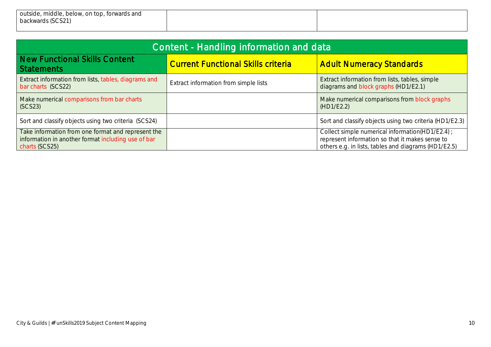| outside, middle, below, on top, forwards and |  |
|----------------------------------------------|--|
| backwards (SCS21)                            |  |
|                                              |  |

| Content - Handling information and data                                                                                    |                                           |                                                                                                                                                             |  |
|----------------------------------------------------------------------------------------------------------------------------|-------------------------------------------|-------------------------------------------------------------------------------------------------------------------------------------------------------------|--|
| New Functional Skills Content<br><b>Statements</b>                                                                         | <b>Current Functional Skills criteria</b> | <b>Adult Numeracy Standards</b>                                                                                                                             |  |
| Extract information from lists, tables, diagrams and<br>bar charts (SCS22)                                                 | Extract information from simple lists     | Extract information from lists, tables, simple<br>diagrams and block graphs (HD1/E2.1)                                                                      |  |
| Make numerical comparisons from bar charts<br>SCS23                                                                        |                                           | Make numerical comparisons from block graphs<br>(HD1/E2.2)                                                                                                  |  |
| Sort and classify objects using two criteria (SCS24)                                                                       |                                           | Sort and classify objects using two criteria (HD1/E2.3)                                                                                                     |  |
| Take information from one format and represent the<br>information in another format including use of bar<br>charts (SCS25) |                                           | Collect simple numerical information(HD1/E2.4) ;<br>represent information so that it makes sense to<br>others e.g. in lists, tables and diagrams (HD1/E2.5) |  |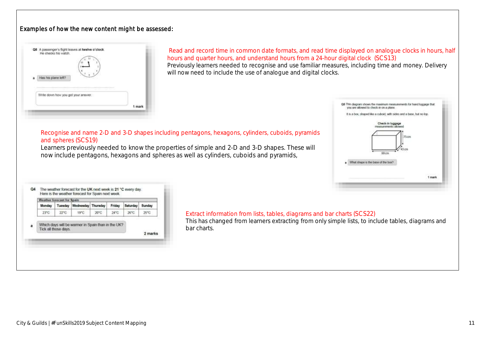#### Examples of how the new content might be assessed:



Read and record time in common date formats, and read time displayed on analogue clocks in hours, half hours and quarter hours, and understand hours from a 24-hour digital clock (SCS13) Previously learners needed to recognise and use familiar measures, including time and money. Delivery will now need to include the use of analogue and digital clocks.

#### Recognise and name 2-D and 3-D shapes including pentagons, hexagons, cylinders, cuboids, pyramids and spheres (SCS19)

Learners previously needed to know the properties of simple and 2-D and 3-D shapes. These will now include pentagons, hexagons and spheres as well as cylinders, cuboids and pyramids,

| Monday | Tuesday              | Wednesday Thursday |      | Friday | Saturday | Sunday  |
|--------|----------------------|--------------------|------|--------|----------|---------|
| 23°C   | 22°C                 | 19"C               | 20°C | 24°C   | 26°C.    | 25°C    |
|        | Tick all those days. |                    |      |        |          | 2 marks |

#### Extract information from lists, tables, diagrams and bar charts (SCS22)

This has changed from learners extracting from only simple lists, to include tables, diagrams and bar charts.

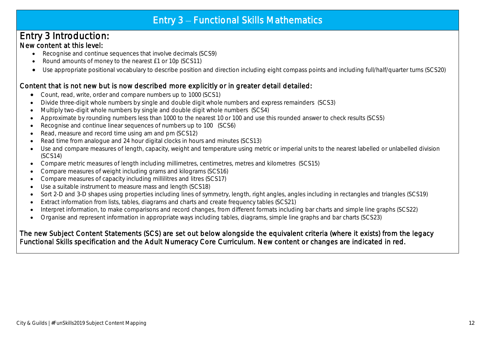# Entry  $3$  – Functional Skills Mathematics

## Entry 3 Introduction: New content at this level:

- Recognise and continue sequences that involve decimals (SCS9)
- Round amounts of money to the nearest £1 or 10p (SCS11)
- Use appropriate positional vocabulary to describe position and direction including eight compass points and including full/half/quarter turns (SCS20)

### Content that is not new but is now described more explicitly or in greater detail detailed:

- Count, read, write, order and compare numbers up to 1000 (SCS1)
- Divide three-digit whole numbers by single and double digit whole numbers and express remainders (SCS3)
- Multiply two-digit whole numbers by single and double digit whole numbers (SCS4)
- Approximate by rounding numbers less than 1000 to the nearest 10 or 100 and use this rounded answer to check results (SCS5)
- Recognise and continue linear sequences of numbers up to 100 (SCS6)
- Read, measure and record time using am and pm (SCS12)
- Read time from analogue and 24 hour digital clocks in hours and minutes (SCS13)
- Use and compare measures of length, capacity, weight and temperature using metric or imperial units to the nearest labelled or unlabelled division (SCS14)
- Compare metric measures of length including millimetres, centimetres, metres and kilometres (SCS15)
- Compare measures of weight including grams and kilograms (SCS16)
- Compare measures of capacity including millilitres and litres (SCS17)
- Use a suitable instrument to measure mass and length (SCS18)
- Sort 2-D and 3-D shapes using properties including lines of symmetry, length, right angles, angles including in rectangles and triangles (SCS19)
- Extract information from lists, tables, diagrams and charts and create frequency tables (SCS21)
- Interpret information, to make comparisons and record changes, from different formats including bar charts and simple line graphs (SCS22)
- Organise and represent information in appropriate ways including tables, diagrams, simple line graphs and bar charts (SCS23)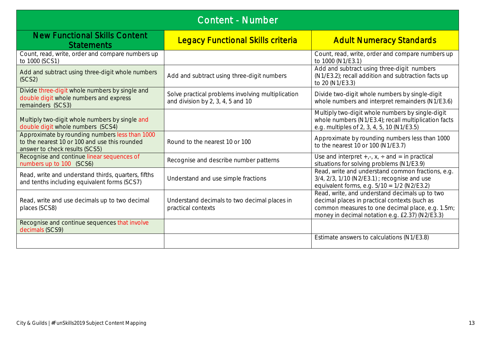| <b>Content - Number</b>                                                                                                           |                                                                                            |                                                                                                                                                                                                        |  |  |
|-----------------------------------------------------------------------------------------------------------------------------------|--------------------------------------------------------------------------------------------|--------------------------------------------------------------------------------------------------------------------------------------------------------------------------------------------------------|--|--|
| <b>New Functional Skills Content</b><br><b>Statements</b>                                                                         | <b>Legacy Functional Skills criteria</b>                                                   | <b>Adult Numeracy Standards</b>                                                                                                                                                                        |  |  |
| Count, read, write, order and compare numbers up<br>to 1000 (SCS1)                                                                |                                                                                            | Count, read, write, order and compare numbers up<br>to 1000 (N1/E3.1)                                                                                                                                  |  |  |
| Add and subtract using three-digit whole numbers<br>(SCS2)                                                                        | Add and subtract using three-digit numbers                                                 | Add and subtract using three-digit numbers<br>(N1/E3.2); recall addition and subtraction facts up<br>to 20 (N1/E3.3)                                                                                   |  |  |
| Divide three-digit whole numbers by single and<br>double digit whole numbers and express<br>remainders (SCS3)                     | Solve practical problems involving multiplication<br>and division by $2, 3, 4, 5$ and $10$ | Divide two-digit whole numbers by single-digit<br>whole numbers and interpret remainders (N1/E3.6)                                                                                                     |  |  |
| Multiply two-digit whole numbers by single and<br>double digit whole numbers (SCS4)                                               |                                                                                            | Multiply two-digit whole numbers by single-digit<br>whole numbers (N1/E3.4); recall multiplication facts<br>e.g. multiples of 2, 3, 4, 5, 10 (N1/E3.5)                                                 |  |  |
| Approximate by rounding numbers less than 1000<br>to the nearest 10 or 100 and use this rounded<br>answer to check results (SCS5) | Round to the nearest 10 or 100                                                             | Approximate by rounding numbers less than 1000<br>to the nearest 10 or 100 (N1/E3.7)                                                                                                                   |  |  |
| Recognise and continue linear sequences of<br>numbers up to 100 (SCS6)                                                            | Recognise and describe number patterns                                                     | Use and interpret $+, \cdot, x$ , $\div$ and = in practical<br>situations for solving problems (N1/E3.9)                                                                                               |  |  |
| Read, write and understand thirds, quarters, fifths<br>and tenths including equivalent forms (SCS7)                               | Understand and use simple fractions                                                        | Read, write and understand common fractions, e.g.<br>3/4, 2/3, 1/10 (N2/E3.1) ; recognise and use<br>equivalent forms, e.g. $5/10 = 1/2$ (N2/E3.2)                                                     |  |  |
| Read, write and use decimals up to two decimal<br>places (SCS8)                                                                   | Understand decimals to two decimal places in<br>practical contexts                         | Read, write, and understand decimals up to two<br>decimal places in practical contexts (such as<br>common measures to one decimal place, e.g. 1.5m;<br>money in decimal notation e.g. £2.37) (N2/E3.3) |  |  |
| Recognise and continue sequences that involve<br>decimals (SCS9)                                                                  |                                                                                            |                                                                                                                                                                                                        |  |  |
|                                                                                                                                   |                                                                                            | Estimate answers to calculations (N1/E3.8)                                                                                                                                                             |  |  |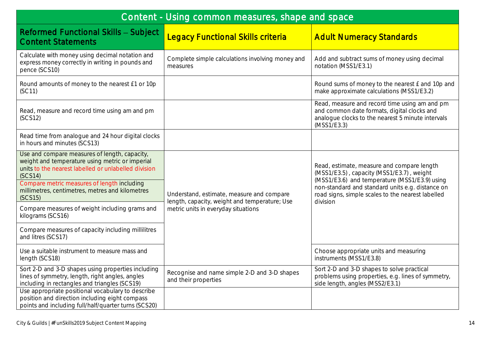| Content - Using common measures, shape and space                                                                                                                                                            |                                                                                            |                                                                                                                                                                    |  |  |
|-------------------------------------------------------------------------------------------------------------------------------------------------------------------------------------------------------------|--------------------------------------------------------------------------------------------|--------------------------------------------------------------------------------------------------------------------------------------------------------------------|--|--|
| <b>Reformed Functional Skills - Subject</b><br><b>Content Statements</b>                                                                                                                                    | <b>Legacy Functional Skills criteria</b>                                                   | <b>Adult Numeracy Standards</b>                                                                                                                                    |  |  |
| Calculate with money using decimal notation and<br>express money correctly in writing in pounds and<br>pence (SCS10)                                                                                        | Complete simple calculations involving money and<br>measures                               | Add and subtract sums of money using decimal<br>notation (MSS1/E3.1)                                                                                               |  |  |
| Round amounts of money to the nearest £1 or 10p<br>(SC11)                                                                                                                                                   |                                                                                            | Round sums of money to the nearest £ and 10p and<br>make approximate calculations (MSS1/E3.2)                                                                      |  |  |
| Read, measure and record time using am and pm<br>(SCS12)                                                                                                                                                    |                                                                                            | Read, measure and record time using am and pm<br>and common date formats, digital clocks and<br>analogue clocks to the nearest 5 minute intervals<br>(MSS1/E3.3)   |  |  |
| Read time from analogue and 24 hour digital clocks<br>in hours and minutes (SCS13)                                                                                                                          |                                                                                            |                                                                                                                                                                    |  |  |
| Use and compare measures of length, capacity,<br>weight and temperature using metric or imperial<br>units to the nearest labelled or unlabelled division<br>(SCS14)                                         |                                                                                            | Read, estimate, measure and compare length<br>(MSS1/E3.5), capacity (MSS1/E3.7), weight                                                                            |  |  |
| Compare metric measures of length including<br>millimetres, centimetres, metres and kilometres<br>(SCS15)                                                                                                   | Understand, estimate, measure and compare<br>length, capacity, weight and temperature; Use | (MSS1/E3.6) and temperature (MSS1/E3.9) using<br>non-standard and standard units e.g. distance on<br>road signs, simple scales to the nearest labelled<br>division |  |  |
| Compare measures of weight including grams and<br>kilograms (SCS16)                                                                                                                                         | metric units in everyday situations                                                        |                                                                                                                                                                    |  |  |
| Compare measures of capacity including millilitres<br>and litres (SCS17)                                                                                                                                    |                                                                                            |                                                                                                                                                                    |  |  |
| Use a suitable instrument to measure mass and<br>length (SCS18)                                                                                                                                             |                                                                                            | Choose appropriate units and measuring<br>instruments (MSS1/E3.8)                                                                                                  |  |  |
| Sort 2-D and 3-D shapes using properties including<br>lines of symmetry, length, right angles, angles<br>including in rectangles and triangles (SCS19)<br>Use appropriate positional vocabulary to describe | Recognise and name simple 2-D and 3-D shapes<br>and their properties                       | Sort 2-D and 3-D shapes to solve practical<br>problems using properties, e.g. lines of symmetry,<br>side length, angles (MSS2/E3.1)                                |  |  |
| position and direction including eight compass<br>points and including full/half/quarter turns (SCS20)                                                                                                      |                                                                                            |                                                                                                                                                                    |  |  |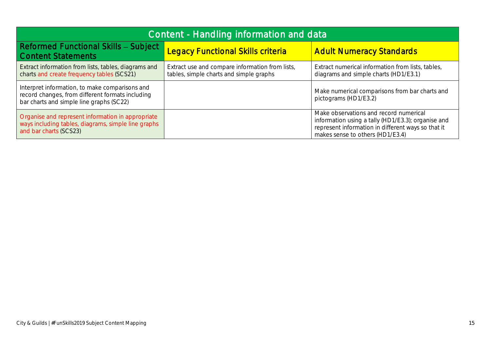| Content - Handling information and data                                                                                                        |                                                                                            |                                                                                                                                                                                        |
|------------------------------------------------------------------------------------------------------------------------------------------------|--------------------------------------------------------------------------------------------|----------------------------------------------------------------------------------------------------------------------------------------------------------------------------------------|
| <b>Reformed Functional Skills - Subject</b><br><b>Content Statements</b>                                                                       | <b>Legacy Functional Skills criteria</b>                                                   | <b>Adult Numeracy Standards</b>                                                                                                                                                        |
| Extract information from lists, tables, diagrams and<br>charts and create frequency tables (SCS21)                                             | Extract use and compare information from lists,<br>tables, simple charts and simple graphs | Extract numerical information from lists, tables,<br>diagrams and simple charts (HD1/E3.1)                                                                                             |
| Interpret information, to make comparisons and<br>record changes, from different formats including<br>bar charts and simple line graphs (SC22) |                                                                                            | Make numerical comparisons from bar charts and<br>pictograms (HD1/E3.2)                                                                                                                |
| Organise and represent information in appropriate<br>ways including tables, diagrams, simple line graphs<br>and bar charts (SCS23)             |                                                                                            | Make observations and record numerical<br>information using a tally (HD1/E3.3); organise and<br>represent information in different ways so that it<br>makes sense to others (HD1/E3.4) |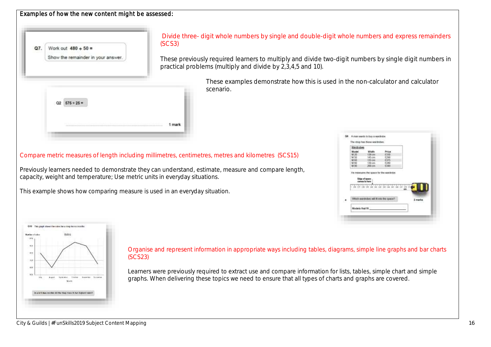| Work out $480 + 50 =$<br>Q7.<br>Show the remainder in your answer.                                                                                       | Divide three- digit whole numbers by single and double-digit whole numbers and express remainders<br>(SCS3)<br>These previously required learners to multiply and divide two-digit numbers by single digit numbers in                                                                                                                                                                                                                                                                                                                                                                                 |
|----------------------------------------------------------------------------------------------------------------------------------------------------------|-------------------------------------------------------------------------------------------------------------------------------------------------------------------------------------------------------------------------------------------------------------------------------------------------------------------------------------------------------------------------------------------------------------------------------------------------------------------------------------------------------------------------------------------------------------------------------------------------------|
| $Q2$ $575 + 25 =$                                                                                                                                        | practical problems (multiply and divide by 2,3,4,5 and 10).<br>These examples demonstrate how this is used in the non-calculator and calculator<br>scenario.                                                                                                                                                                                                                                                                                                                                                                                                                                          |
| capacity, weight and temperature; Use metric units in everyday situations.<br>This example shows how comparing measure is used in an everyday situation. | 1 mark<br>D6 A men wants to buy a wantrobe<br>The shop free these wordrobes.<br>Wardrobes<br>Model<br>Compare metric measures of length including millimetres, centimetres, metres and kilometres (SCS15)<br>138 cm<br>$^{1330}_{1290}$<br>M 20<br>M5 cm<br>\$4.50<br>M60<br>\$375.<br>$135$ an<br><b>M-RD</b><br>$130 \text{ m}$<br>6348<br>M-90<br>$200$ cm<br>Previously learners needed to demonstrate they can understand, estimate, measure and compare length,<br>He measures the space for the wardrobe<br>Edge of spap<br>Which wordrobes will lil into the spec<br>2 marks<br>Models that f |
| O10 This graph strews the sales for a simplice six incredibility<br><b>Bumber of Index</b>                                                               | Organise and represent information in appropriate ways including tables, diagrams, simple line graphs and bar charts                                                                                                                                                                                                                                                                                                                                                                                                                                                                                  |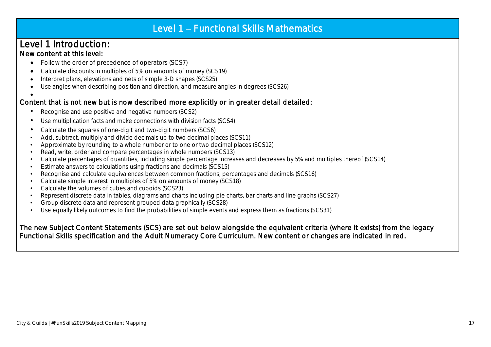# Level 1 - Functional Skills Mathematics

### Level 1 Introduction: New content at this level:

- Follow the order of precedence of operators (SCS7)
- Calculate discounts in multiples of 5% on amounts of money (SCS19)
- Interpret plans, elevations and nets of simple 3-D shapes (SCS25)
- Use angles when describing position and direction, and measure angles in degrees (SCS26)

#### $\bullet$ Content that is not new but is now described more explicitly or in greater detail detailed:

- Recognise and use positive and negative numbers (SCS2)
- Use multiplication facts and make connections with division facts (SCS4)
- Calculate the squares of one-digit and two-digit numbers (SCS6)
- Add, subtract, multiply and divide decimals up to two decimal places (SCS11)
- Approximate by rounding to a whole number or to one or two decimal places (SCS12)
- Read, write, order and compare percentages in whole numbers (SCS13)
- Calculate percentages of quantities, including simple percentage increases and decreases by 5% and multiples thereof (SCS14)
- Estimate answers to calculations using fractions and decimals (SCS15)
- Recognise and calculate equivalences between common fractions, percentages and decimals (SCS16)
- Calculate simple interest in multiples of 5% on amounts of money (SCS18)
- Calculate the volumes of cubes and cuboids (SCS23)
- Represent discrete data in tables, diagrams and charts including pie charts, bar charts and line graphs (SCS27)
- Group discrete data and represent grouped data graphically (SCS28)
- Use equally likely outcomes to find the probabilities of simple events and express them as fractions (SCS31)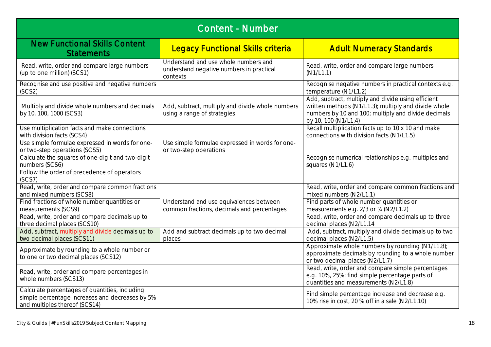| <b>Content - Number</b>                                                                                                            |                                                                                              |                                                                                                                                                                                           |
|------------------------------------------------------------------------------------------------------------------------------------|----------------------------------------------------------------------------------------------|-------------------------------------------------------------------------------------------------------------------------------------------------------------------------------------------|
| <b>New Functional Skills Content</b><br><b>Statements</b>                                                                          | <b>Legacy Functional Skills criteria</b>                                                     | <b>Adult Numeracy Standards</b>                                                                                                                                                           |
| Read, write, order and compare large numbers<br>(up to one million) (SCS1)                                                         | Understand and use whole numbers and<br>understand negative numbers in practical<br>contexts | Read, write, order and compare large numbers<br>(N1/L1.1)                                                                                                                                 |
| Recognise and use positive and negative numbers<br>(SCS2)                                                                          |                                                                                              | Recognise negative numbers in practical contexts e.g.<br>temperature (N1/L1.2)                                                                                                            |
| Multiply and divide whole numbers and decimals<br>by 10, 100, 1000 (SCS3)                                                          | Add, subtract, multiply and divide whole numbers<br>using a range of strategies              | Add, subtract, multiply and divide using efficient<br>written methods (N1/L1.3); multiply and divide whole<br>numbers by 10 and 100; multiply and divide decimals<br>by 10, 100 (N1/L1.4) |
| Use multiplication facts and make connections<br>with division facts (SCS4)                                                        |                                                                                              | Recall multiplication facts up to 10 x 10 and make<br>connections with division facts (N1/L1.5)                                                                                           |
| Use simple formulae expressed in words for one-<br>or two-step operations (SCS5)                                                   | Use simple formulae expressed in words for one-<br>or two-step operations                    |                                                                                                                                                                                           |
| Calculate the squares of one-digit and two-digit<br>numbers (SCS6)                                                                 |                                                                                              | Recognise numerical relationships e.g. multiples and<br>squares (N1/L1.6)                                                                                                                 |
| Follow the order of precedence of operators<br>(SCS7)                                                                              |                                                                                              |                                                                                                                                                                                           |
| Read, write, order and compare common fractions<br>and mixed numbers (SCS8)                                                        |                                                                                              | Read, write, order and compare common fractions and<br>mixed numbers (N2/L1.1)                                                                                                            |
| Find fractions of whole number quantities or<br>measurements (SCS9)                                                                | Understand and use equivalences between<br>common fractions, decimals and percentages        | Find parts of whole number quantities or<br>measurements e.g. 2/3 or 34 (N2/L1.2)                                                                                                         |
| Read, write, order and compare decimals up to<br>three decimal places (SCS10)                                                      |                                                                                              | Read, write, order and compare decimals up to three<br>decimal places (N2/L1.14                                                                                                           |
| Add, subtract, multiply and divide decimals up to<br>two decimal places (SCS11)                                                    | Add and subtract decimals up to two decimal<br>places                                        | Add, subtract, multiply and divide decimals up to two<br>decimal places (N2/L1.5)                                                                                                         |
| Approximate by rounding to a whole number or<br>to one or two decimal places (SCS12)                                               |                                                                                              | Approximate whole numbers by rounding (N1/L1.8);<br>approximate decimals by rounding to a whole number<br>or two decimal places (N2/L1.7)                                                 |
| Read, write, order and compare percentages in<br>whole numbers (SCS13)                                                             |                                                                                              | Read, write, order and compare simple percentages<br>e.g. 10%, 25%; find simple percentage parts of<br>quantities and measurements (N2/L1.8)                                              |
| Calculate percentages of quantities, including<br>simple percentage increases and decreases by 5%<br>and multiples thereof (SCS14) |                                                                                              | Find simple percentage increase and decrease e.g.<br>10% rise in cost, 20 % off in a sale (N2/L1.10)                                                                                      |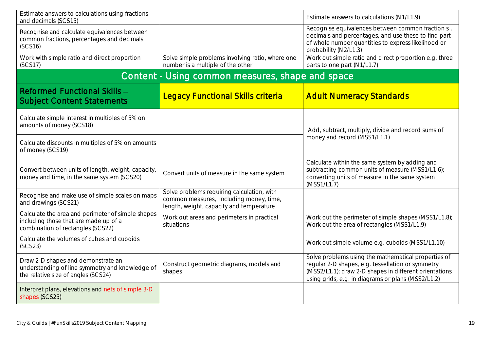| Estimate answers to calculations using fractions<br>and decimals (SCS15)                                                        |                                                                                                                                   | Estimate answers to calculations (N1/L1.9)                                                                                                                                                                               |
|---------------------------------------------------------------------------------------------------------------------------------|-----------------------------------------------------------------------------------------------------------------------------------|--------------------------------------------------------------------------------------------------------------------------------------------------------------------------------------------------------------------------|
| Recognise and calculate equivalences between<br>common fractions, percentages and decimals<br>(SCS16)                           |                                                                                                                                   | Recognise equivalences between common fraction s,<br>decimals and percentages, and use these to find part<br>of whole number quantities to express likelihood or<br>probability (N2/L1.3)                                |
| Work with simple ratio and direct proportion<br>(SCS17)                                                                         | Solve simple problems involving ratio, where one<br>number is a multiple of the other                                             | Work out simple ratio and direct proportion e.g. three<br>parts to one part (N1/L1.7)                                                                                                                                    |
| Content - Using common measures, shape and space                                                                                |                                                                                                                                   |                                                                                                                                                                                                                          |
| Reformed Functional Skills -<br><b>Subject Content Statements</b>                                                               | <b>Legacy Functional Skills criteria</b>                                                                                          | <b>Adult Numeracy Standards</b>                                                                                                                                                                                          |
| Calculate simple interest in multiples of 5% on<br>amounts of money (SCS18)                                                     |                                                                                                                                   | Add, subtract, multiply, divide and record sums of                                                                                                                                                                       |
| Calculate discounts in multiples of 5% on amounts<br>of money (SCS19)                                                           |                                                                                                                                   | money and record (MSS1/L1.1)                                                                                                                                                                                             |
| Convert between units of length, weight, capacity,<br>money and time, in the same system (SCS20)                                | Convert units of measure in the same system                                                                                       | Calculate within the same system by adding and<br>subtracting common units of measure (MSS1/L1.6);<br>converting units of measure in the same system<br>(MSS1/L1.7)                                                      |
| Recognise and make use of simple scales on maps<br>and drawings (SCS21)                                                         | Solve problems requiring calculation, with<br>common measures, including money, time,<br>length, weight, capacity and temperature |                                                                                                                                                                                                                          |
| Calculate the area and perimeter of simple shapes<br>including those that are made up of a<br>combination of rectangles (SCS22) | Work out areas and perimeters in practical<br>situations                                                                          | Work out the perimeter of simple shapes (MSS1/L1.8);<br>Work out the area of rectangles (MSS1/L1.9)                                                                                                                      |
| Calculate the volumes of cubes and cuboids<br>(SCS23)                                                                           |                                                                                                                                   | Work out simple volume e.g. cuboids (MSS1/L1.10)                                                                                                                                                                         |
| Draw 2-D shapes and demonstrate an<br>understanding of line symmetry and knowledge of<br>the relative size of angles (SCS24)    | Construct geometric diagrams, models and<br>shapes                                                                                | Solve problems using the mathematical properties of<br>regular 2-D shapes, e.g. tessellation or symmetry<br>(MSS2/L1.1); draw 2-D shapes in different orientations<br>using grids, e.g. in diagrams or plans (MSS2/L1.2) |
| Interpret plans, elevations and nets of simple 3-D<br>shapes (SCS25)                                                            |                                                                                                                                   |                                                                                                                                                                                                                          |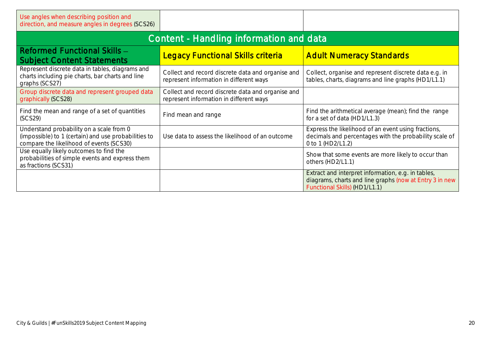| Use angles when describing position and<br>direction, and measure angles in degrees (SCS26)                                                  |                                                                                              |                                                                                                                                                |
|----------------------------------------------------------------------------------------------------------------------------------------------|----------------------------------------------------------------------------------------------|------------------------------------------------------------------------------------------------------------------------------------------------|
| Content - Handling information and data                                                                                                      |                                                                                              |                                                                                                                                                |
| <b>Reformed Functional Skills -</b><br><b>Subject Content Statements</b>                                                                     | <b>Legacy Functional Skills criteria</b>                                                     | <b>Adult Numeracy Standards</b>                                                                                                                |
| Represent discrete data in tables, diagrams and<br>charts including pie charts, bar charts and line<br>graphs (SCS27)                        | Collect and record discrete data and organise and<br>represent information in different ways | Collect, organise and represent discrete data e.g. in<br>tables, charts, diagrams and line graphs (HD1/L1.1)                                   |
| Group discrete data and represent grouped data<br>graphically (SCS28)                                                                        | Collect and record discrete data and organise and<br>represent information in different ways |                                                                                                                                                |
| Find the mean and range of a set of quantities<br>(SCS29)                                                                                    | Find mean and range                                                                          | Find the arithmetical average (mean); find the range<br>for a set of data (HD1/L1.3)                                                           |
| Understand probability on a scale from 0<br>(impossible) to 1 (certain) and use probabilities to<br>compare the likelihood of events (SCS30) | Use data to assess the likelihood of an outcome                                              | Express the likelihood of an event using fractions,<br>decimals and percentages with the probability scale of<br>0 to 1 (HD2/L1.2)             |
| Use equally likely outcomes to find the<br>probabilities of simple events and express them<br>as fractions (SCS31)                           |                                                                                              | Show that some events are more likely to occur than<br>others (HD2/L1.1)                                                                       |
|                                                                                                                                              |                                                                                              | Extract and interpret information, e.g. in tables,<br>diagrams, charts and line graphs (now at Entry 3 in new<br>Functional Skills) (HD1/L1.1) |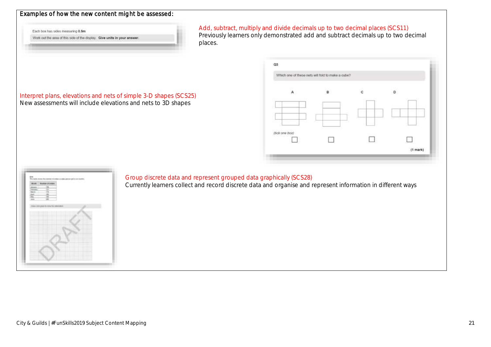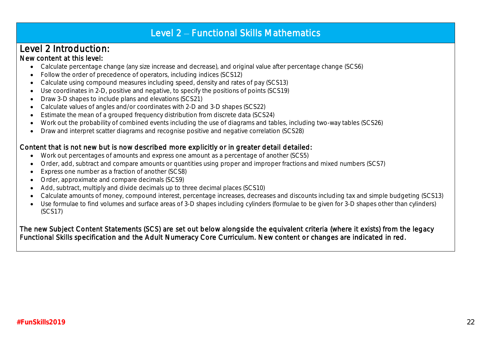# Level 2 - Functional Skills Mathematics

# Level 2 Introduction:

### New content at this level:

.

- Calculate percentage change (any size increase and decrease), and original value after percentage change (SCS6)
- Follow the order of precedence of operators, including indices (SCS12)
- Calculate using compound measures including speed, density and rates of pay (SCS13)
- Use coordinates in 2-D, positive and negative, to specify the positions of points (SCS19)
- Draw 3-D shapes to include plans and elevations (SCS21)
- Calculate values of angles and/or coordinates with 2-D and 3-D shapes (SCS22)
- Estimate the mean of a grouped frequency distribution from discrete data (SCS24)
- Work out the probability of combined events including the use of diagrams and tables, including two-way tables (SCS26)
- Draw and interpret scatter diagrams and recognise positive and negative correlation (SCS28)

### Content that is not new but is now described more explicitly or in greater detail detailed:

- Work out percentages of amounts and express one amount as a percentage of another (SCS5)
- Order, add, subtract and compare amounts or quantities using proper and improper fractions and mixed numbers (SCS7)
- Express one number as a fraction of another (SCS8)
- Order, approximate and compare decimals (SCS9)
- Add, subtract, multiply and divide decimals up to three decimal places (SCS10)
- Calculate amounts of money, compound interest, percentage increases, decreases and discounts including tax and simple budgeting (SCS13)
- Use formulae to find volumes and surface areas of 3-D shapes including cylinders (formulae to be given for 3-D shapes other than cylinders) (SCS17)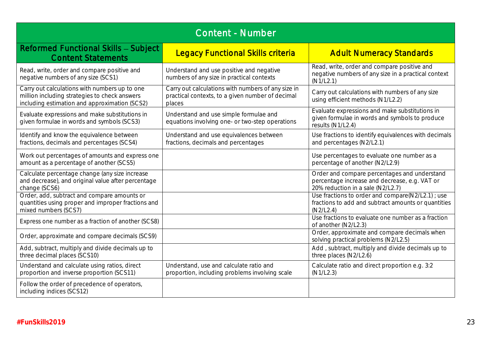| Content - Number                                                                                                                                |                                                                                                                  |                                                                                                                                    |
|-------------------------------------------------------------------------------------------------------------------------------------------------|------------------------------------------------------------------------------------------------------------------|------------------------------------------------------------------------------------------------------------------------------------|
| Reformed Functional Skills - Subject<br><b>Content Statements</b>                                                                               | <b>Legacy Functional Skills criteria</b>                                                                         | <b>Adult Numeracy Standards</b>                                                                                                    |
| Read, write, order and compare positive and<br>negative numbers of any size (SCS1)                                                              | Understand and use positive and negative<br>numbers of any size in practical contexts                            | Read, write, order and compare positive and<br>negative numbers of any size in a practical context<br>(N1/L2.1)                    |
| Carry out calculations with numbers up to one<br>million including strategies to check answers<br>including estimation and approximation (SCS2) | Carry out calculations with numbers of any size in<br>practical contexts, to a given number of decimal<br>places | Carry out calculations with numbers of any size<br>using efficient methods (N1/L2.2)                                               |
| Evaluate expressions and make substitutions in<br>given formulae in words and symbols (SCS3)                                                    | Understand and use simple formulae and<br>equations involving one- or two-step operations                        | Evaluate expressions and make substitutions in<br>given formulae in words and symbols to produce<br>results (N1/L2.4)              |
| Identify and know the equivalence between<br>fractions, decimals and percentages (SCS4)                                                         | Understand and use equivalences between<br>fractions, decimals and percentages                                   | Use fractions to identify equivalences with decimals<br>and percentages (N2/L2.1)                                                  |
| Work out percentages of amounts and express one<br>amount as a percentage of another (SCS5)                                                     |                                                                                                                  | Use percentages to evaluate one number as a<br>percentage of another (N2/L2.9)                                                     |
| Calculate percentage change (any size increase<br>and decrease), and original value after percentage<br>change (SCS6)                           |                                                                                                                  | Order and compare percentages and understand<br>percentage increase and decrease, e.g. VAT or<br>20% reduction in a sale (N2/L2.7) |
| Order, add, subtract and compare amounts or<br>quantities using proper and improper fractions and<br>mixed numbers (SCS7)                       |                                                                                                                  | Use fractions to order and compare(N2/L2.1); use<br>fractions to add and subtract amounts or quantities<br>(N2/L2.4)               |
| Express one number as a fraction of another (SCS8)                                                                                              |                                                                                                                  | Use fractions to evaluate one number as a fraction<br>of another (N2/L2.3)                                                         |
| Order, approximate and compare decimals (SCS9)                                                                                                  |                                                                                                                  | Order, approximate and compare decimals when<br>solving practical problems (N2/L2.5)                                               |
| Add, subtract, multiply and divide decimals up to<br>three decimal places (SCS10)                                                               |                                                                                                                  | Add, subtract, multiply and divide decimals up to<br>three places (N2/L2.6)                                                        |
| Understand and calculate using ratios, direct<br>proportion and inverse proportion (SCS11)                                                      | Understand, use and calculate ratio and<br>proportion, including problems involving scale                        | Calculate ratio and direct proportion e.g. 3:2<br>(N1/L2.3)                                                                        |
| Follow the order of precedence of operators,<br>including indices (SCS12)                                                                       |                                                                                                                  |                                                                                                                                    |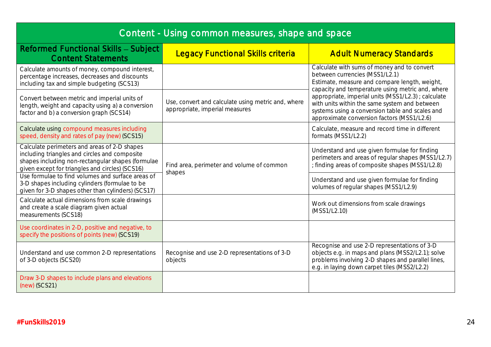| Content - Using common measures, shape and space                                                                                                                                                      |                                                                                      |                                                                                                                                                                                                                                                                                                                                                                                             |
|-------------------------------------------------------------------------------------------------------------------------------------------------------------------------------------------------------|--------------------------------------------------------------------------------------|---------------------------------------------------------------------------------------------------------------------------------------------------------------------------------------------------------------------------------------------------------------------------------------------------------------------------------------------------------------------------------------------|
| <b>Reformed Functional Skills - Subject</b><br><b>Content Statements</b>                                                                                                                              | <b>Legacy Functional Skills criteria</b>                                             | <b>Adult Numeracy Standards</b>                                                                                                                                                                                                                                                                                                                                                             |
| Calculate amounts of money, compound interest,<br>percentage increases, decreases and discounts<br>including tax and simple budgeting (SCS13)                                                         |                                                                                      | Calculate with sums of money and to convert<br>between currencies (MSS1/L2.1)<br>Estimate, measure and compare length, weight,<br>capacity and temperature using metric and, where<br>appropriate, imperial units (MSS1/L2.3) ; calculate<br>with units within the same system and between<br>systems using a conversion table and scales and<br>approximate conversion factors (MSS1/L2.6) |
| Convert between metric and imperial units of<br>length, weight and capacity using a) a conversion<br>factor and b) a conversion graph (SCS14)                                                         | Use, convert and calculate using metric and, where<br>appropriate, imperial measures |                                                                                                                                                                                                                                                                                                                                                                                             |
| Calculate using compound measures including<br>speed, density and rates of pay (new) (SCS15)                                                                                                          |                                                                                      | Calculate, measure and record time in different<br>formats (MSS1/L2.2)                                                                                                                                                                                                                                                                                                                      |
| Calculate perimeters and areas of 2-D shapes<br>including triangles and circles and composite<br>shapes including non-rectangular shapes (formulae<br>given except for triangles and circles) (SCS16) | Find area, perimeter and volume of common<br>shapes                                  | Understand and use given formulae for finding<br>perimeters and areas of regular shapes (MSS1/L2.7)<br>; finding areas of composite shapes (MSS1/L2.8)                                                                                                                                                                                                                                      |
| Use formulae to find volumes and surface areas of<br>3-D shapes including cylinders (formulae to be<br>given for 3-D shapes other than cylinders) (SCS17)                                             |                                                                                      | Understand and use given formulae for finding<br>volumes of regular shapes (MSS1/L2.9)                                                                                                                                                                                                                                                                                                      |
| Calculate actual dimensions from scale drawings<br>and create a scale diagram given actual<br>measurements (SCS18)                                                                                    |                                                                                      | Work out dimensions from scale drawings<br>(MSS1/L2.10)                                                                                                                                                                                                                                                                                                                                     |
| Use coordinates in 2-D, positive and negative, to<br>specify the positions of points (new) (SCS19)                                                                                                    |                                                                                      |                                                                                                                                                                                                                                                                                                                                                                                             |
| Understand and use common 2-D representations<br>of 3-D objects (SCS20)                                                                                                                               | Recognise and use 2-D representations of 3-D<br>objects                              | Recognise and use 2-D representations of 3-D<br>objects e.g. in maps and plans (MSS2/L2.1); solve<br>problems involving 2-D shapes and parallel lines,<br>e.g. in laying down carpet tiles (MSS2/L2.2)                                                                                                                                                                                      |
| Draw 3-D shapes to include plans and elevations<br>(new) (SCS21)                                                                                                                                      |                                                                                      |                                                                                                                                                                                                                                                                                                                                                                                             |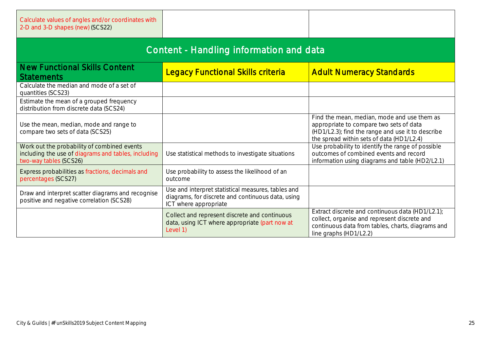| Calculate values of angles and/or coordinates with<br>2-D and 3-D shapes (new) (SCS22)                                       |                                                                                                                                  |                                                                                                                                                                                          |
|------------------------------------------------------------------------------------------------------------------------------|----------------------------------------------------------------------------------------------------------------------------------|------------------------------------------------------------------------------------------------------------------------------------------------------------------------------------------|
| Content - Handling information and data                                                                                      |                                                                                                                                  |                                                                                                                                                                                          |
| <b>New Functional Skills Content</b><br><b>Statements</b>                                                                    | <b>Legacy Functional Skills criteria</b>                                                                                         | <b>Adult Numeracy Standards</b>                                                                                                                                                          |
| Calculate the median and mode of a set of<br>quantities (SCS23)                                                              |                                                                                                                                  |                                                                                                                                                                                          |
| Estimate the mean of a grouped frequency<br>distribution from discrete data (SCS24)                                          |                                                                                                                                  |                                                                                                                                                                                          |
| Use the mean, median, mode and range to<br>compare two sets of data (SCS25)                                                  |                                                                                                                                  | Find the mean, median, mode and use them as<br>appropriate to compare two sets of data<br>(HD1/L2.3); find the range and use it to describe<br>the spread within sets of data (HD1/L2.4) |
| Work out the probability of combined events<br>including the use of diagrams and tables, including<br>two-way tables (SCS26) | Use statistical methods to investigate situations                                                                                | Use probability to identify the range of possible<br>outcomes of combined events and record<br>information using diagrams and table (HD2/L2.1)                                           |
| Express probabilities as fractions, decimals and<br>percentages (SCS27)                                                      | Use probability to assess the likelihood of an<br>outcome                                                                        |                                                                                                                                                                                          |
| Draw and interpret scatter diagrams and recognise<br>positive and negative correlation (SCS28)                               | Use and interpret statistical measures, tables and<br>diagrams, for discrete and continuous data, using<br>ICT where appropriate |                                                                                                                                                                                          |
|                                                                                                                              | Collect and represent discrete and continuous<br>data, using ICT where appropriate (part now at<br>Level 1)                      | Extract discrete and continuous data (HD1/L2.1);<br>collect, organise and represent discrete and<br>continuous data from tables, charts, diagrams and<br>line graphs (HD1/L2.2)          |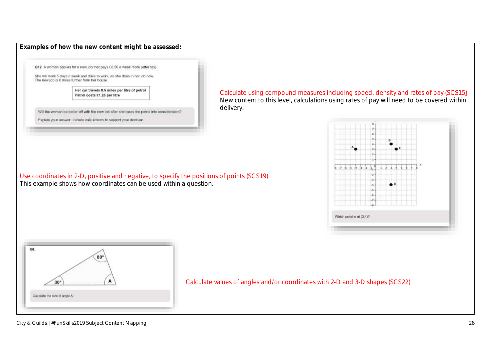